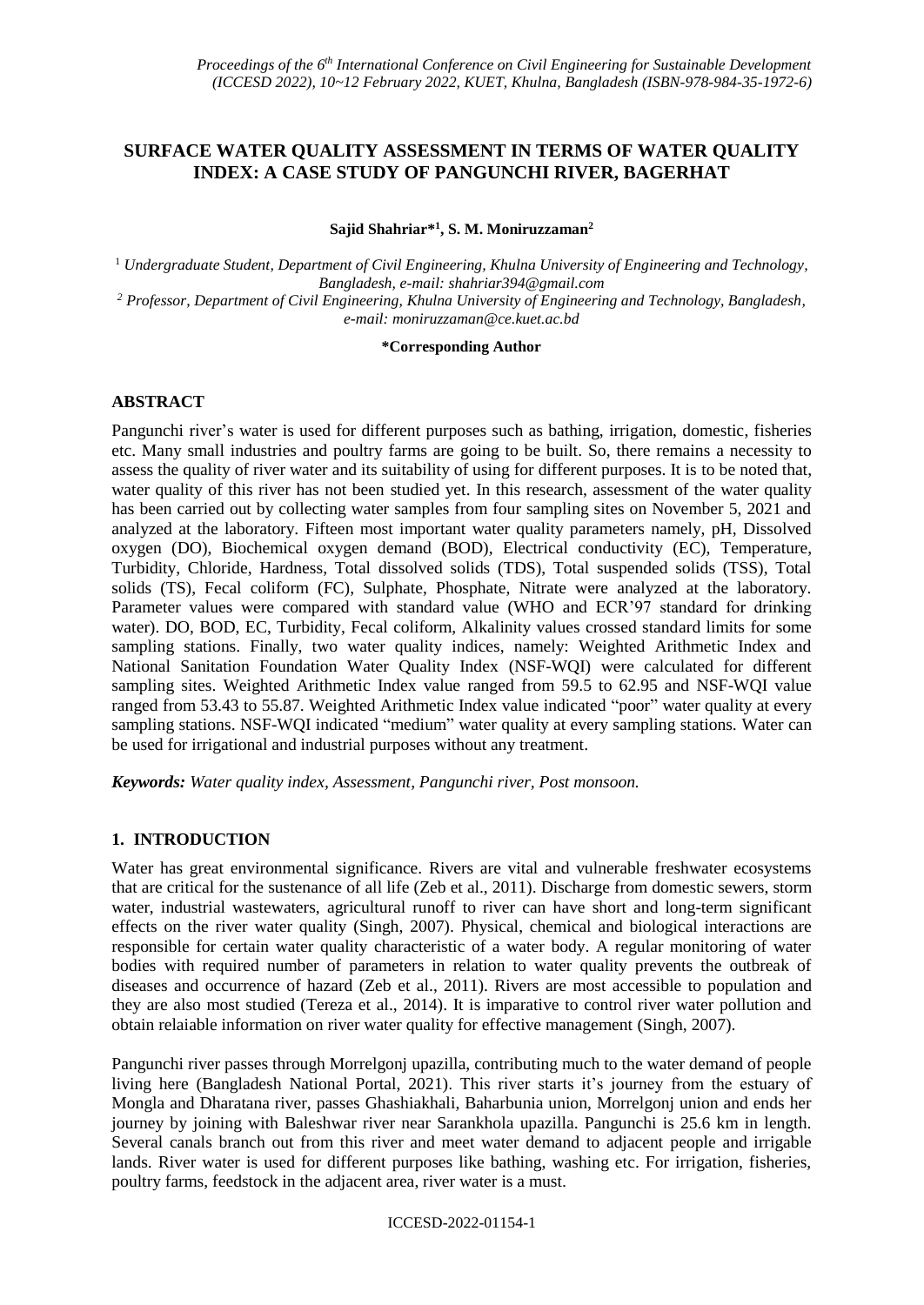# **SURFACE WATER QUALITY ASSESSMENT IN TERMS OF WATER QUALITY INDEX: A CASE STUDY OF PANGUNCHI RIVER, BAGERHAT**

**Sajid Shahriar\* 1 , S. M. Moniruzzaman<sup>2</sup>**

<sup>1</sup> *Undergraduate Student, Department of Civil Engineering, Khulna University of Engineering and Technology, Bangladesh, e-mail: shahriar394@gmail.com <sup>2</sup> Professor, Department of Civil Engineering, Khulna University of Engineering and Technology, Bangladesh, e-mail: moniruzzaman@ce.kuet.ac.bd*

#### **\*Corresponding Author**

## **ABSTRACT**

Pangunchi river's water is used for different purposes such as bathing, irrigation, domestic, fisheries etc. Many small industries and poultry farms are going to be built. So, there remains a necessity to assess the quality of river water and its suitability of using for different purposes. It is to be noted that, water quality of this river has not been studied yet. In this research, assessment of the water quality has been carried out by collecting water samples from four sampling sites on November 5, 2021 and analyzed at the laboratory. Fifteen most important water quality parameters namely, pH, Dissolved oxygen (DO), Biochemical oxygen demand (BOD), Electrical conductivity (EC), Temperature, Turbidity, Chloride, Hardness, Total dissolved solids (TDS), Total suspended solids (TSS), Total solids (TS), Fecal coliform (FC), Sulphate, Phosphate, Nitrate were analyzed at the laboratory. Parameter values were compared with standard value (WHO and ECR'97 standard for drinking water). DO, BOD, EC, Turbidity, Fecal coliform, Alkalinity values crossed standard limits for some sampling stations. Finally, two water quality indices, namely: Weighted Arithmetic Index and National Sanitation Foundation Water Quality Index (NSF-WQI) were calculated for different sampling sites. Weighted Arithmetic Index value ranged from 59.5 to 62.95 and NSF-WQI value ranged from 53.43 to 55.87. Weighted Arithmetic Index value indicated "poor" water quality at every sampling stations. NSF-WQI indicated "medium" water quality at every sampling stations. Water can be used for irrigational and industrial purposes without any treatment.

*Keywords: Water quality index, Assessment, Pangunchi river, Post monsoon.*

### **1. INTRODUCTION**

Water has great environmental significance. Rivers are vital and vulnerable freshwater ecosystems that are critical for the sustenance of all life (Zeb et al., 2011). Discharge from domestic sewers, storm water, industrial wastewaters, agricultural runoff to river can have short and long-term significant effects on the river water quality (Singh, 2007). Physical, chemical and biological interactions are responsible for certain water quality characteristic of a water body. A regular monitoring of water bodies with required number of parameters in relation to water quality prevents the outbreak of diseases and occurrence of hazard (Zeb et al., 2011). Rivers are most accessible to population and they are also most studied (Tereza et al., 2014). It is imparative to control river water pollution and obtain relaiable information on river water quality for effective management (Singh, 2007).

Pangunchi river passes through Morrelgonj upazilla, contributing much to the water demand of people living here (Bangladesh National Portal, 2021). This river starts it's journey from the estuary of Mongla and Dharatana river, passes Ghashiakhali, Baharbunia union, Morrelgonj union and ends her journey by joining with Baleshwar river near Sarankhola upazilla. Pangunchi is 25.6 km in length. Several canals branch out from this river and meet water demand to adjacent people and irrigable lands. River water is used for different purposes like bathing, washing etc. For irrigation, fisheries, poultry farms, feedstock in the adjacent area, river water is a must.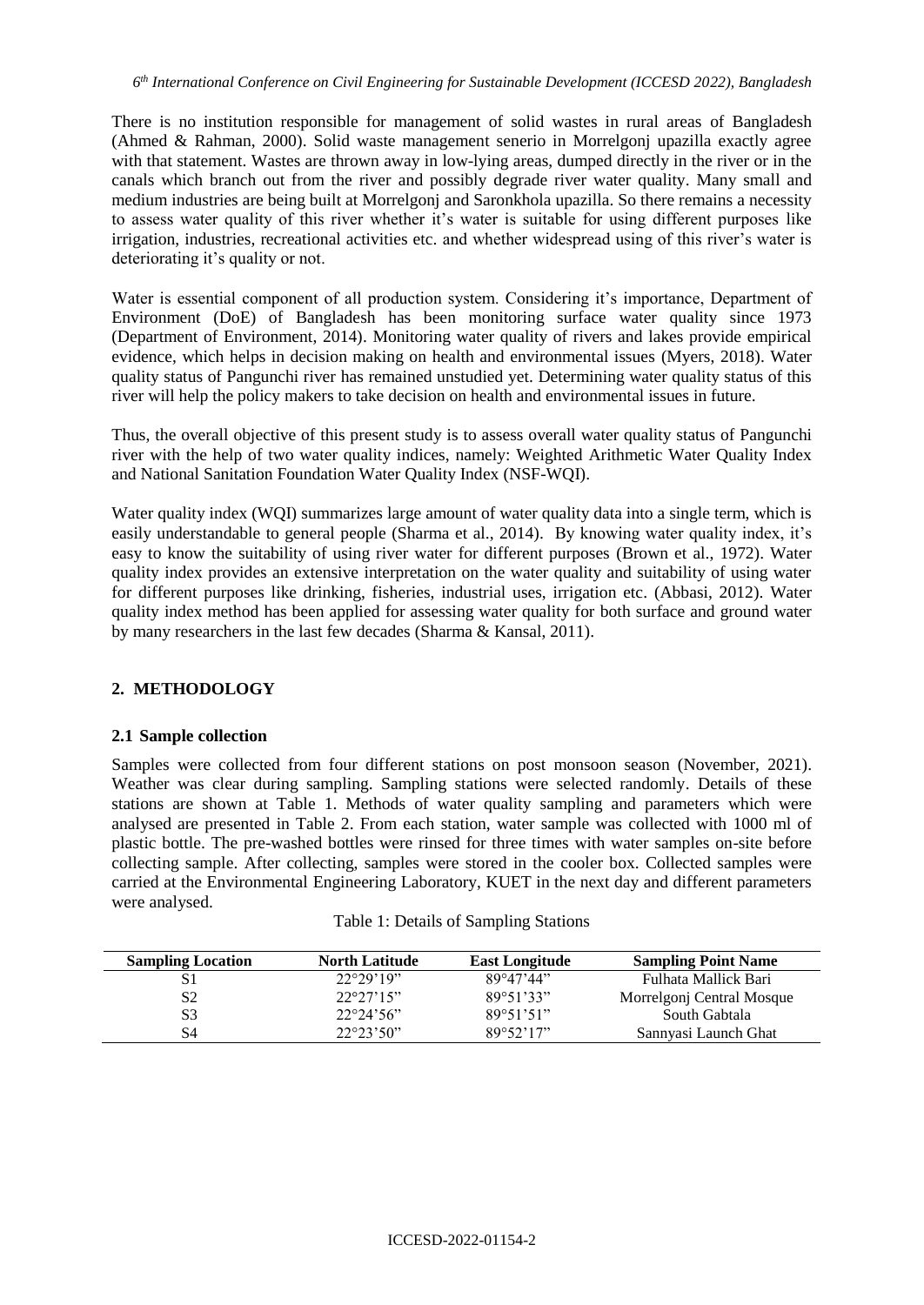There is no institution responsible for management of solid wastes in rural areas of Bangladesh (Ahmed & Rahman, 2000). Solid waste management senerio in Morrelgonj upazilla exactly agree with that statement. Wastes are thrown away in low-lying areas, dumped directly in the river or in the canals which branch out from the river and possibly degrade river water quality. Many small and medium industries are being built at Morrelgonj and Saronkhola upazilla. So there remains a necessity to assess water quality of this river whether it's water is suitable for using different purposes like irrigation, industries, recreational activities etc. and whether widespread using of this river's water is deteriorating it's quality or not.

Water is essential component of all production system. Considering it's importance, Department of Environment (DoE) of Bangladesh has been monitoring surface water quality since 1973 (Department of Environment, 2014). Monitoring water quality of rivers and lakes provide empirical evidence, which helps in decision making on health and environmental issues (Myers, 2018). Water quality status of Pangunchi river has remained unstudied yet. Determining water quality status of this river will help the policy makers to take decision on health and environmental issues in future.

Thus, the overall objective of this present study is to assess overall water quality status of Pangunchi river with the help of two water quality indices, namely: Weighted Arithmetic Water Quality Index and National Sanitation Foundation Water Quality Index (NSF-WQI).

Water quality index (WQI) summarizes large amount of water quality data into a single term, which is easily understandable to general people (Sharma et al., 2014). By knowing water quality index, it's easy to know the suitability of using river water for different purposes (Brown et al., 1972). Water quality index provides an extensive interpretation on the water quality and suitability of using water for different purposes like drinking, fisheries, industrial uses, irrigation etc. (Abbasi, 2012). Water quality index method has been applied for assessing water quality for both surface and ground water by many researchers in the last few decades (Sharma & Kansal, 2011).

## **2. METHODOLOGY**

### **2.1 Sample collection**

Samples were collected from four different stations on post monsoon season (November, 2021). Weather was clear during sampling. Sampling stations were selected randomly. Details of these stations are shown at Table 1. Methods of water quality sampling and parameters which were analysed are presented in Table 2. From each station, water sample was collected with 1000 ml of plastic bottle. The pre-washed bottles were rinsed for three times with water samples on-site before collecting sample. After collecting, samples were stored in the cooler box. Collected samples were carried at the Environmental Engineering Laboratory, KUET in the next day and different parameters were analysed.

| <b>Sampling Location</b> | <b>North Latitude</b> | <b>East Longitude</b> | <b>Sampling Point Name</b> |
|--------------------------|-----------------------|-----------------------|----------------------------|
| S1                       | $22^{\circ}29'19''$   | 89°47'44"             | Fulhata Mallick Bari       |
| S <sub>2</sub>           | $22^{\circ}27'15"$    | 89°51'33"             | Morrelgonj Central Mosque  |
| S3                       | $22^{\circ}24'56"$    | 89°51'51"             | South Gabtala              |
| S4                       | $22^{\circ}23'50"$    | 89°52'17"             | Sannyasi Launch Ghat       |

|  |  |  |  | Table 1: Details of Sampling Stations |
|--|--|--|--|---------------------------------------|
|--|--|--|--|---------------------------------------|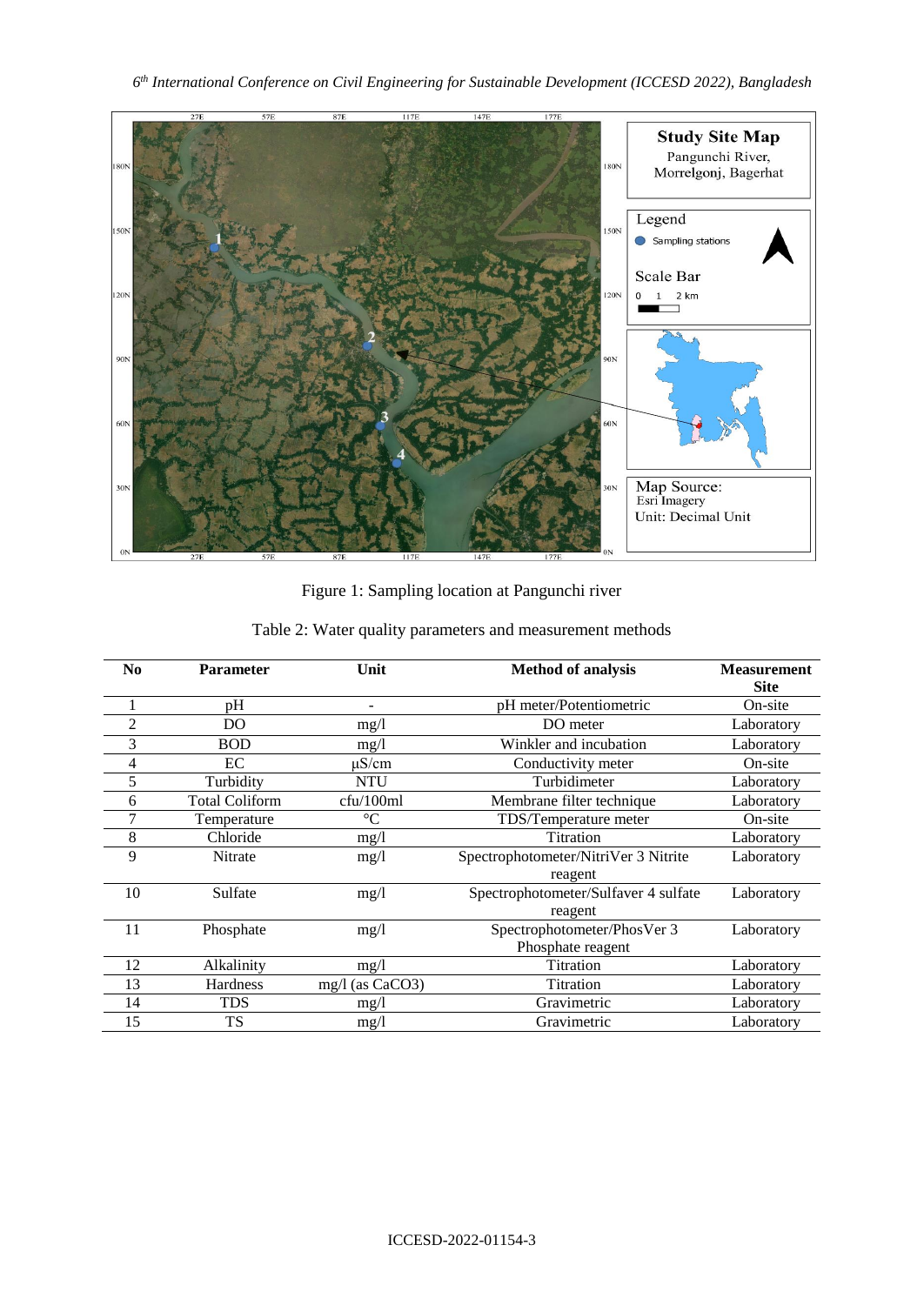

Figure 1: Sampling location at Pangunchi river

| N <sub>0</sub> | <b>Parameter</b>      | Unit            | <b>Method of analysis</b>            | <b>Measurement</b><br><b>Site</b> |
|----------------|-----------------------|-----------------|--------------------------------------|-----------------------------------|
|                | pH                    |                 | pH meter/Potentiometric              | On-site                           |
| 2              | DO                    | mg/1            | DO meter                             | Laboratory                        |
| 3              | <b>BOD</b>            | mg/1            | Winkler and incubation               | Laboratory                        |
| 4              | EC                    | $\mu$ S/cm      | Conductivity meter                   | On-site                           |
|                | Turbidity             | <b>NTU</b>      | Turbidimeter                         | Laboratory                        |
| 6              | <b>Total Coliform</b> | cfu/100ml       | Membrane filter technique            | Laboratory                        |
|                | Temperature           | $\rm ^{\circ}C$ | TDS/Temperature meter                | On-site                           |
| 8              | Chloride              | mg/1            | Titration                            | Laboratory                        |
| 9              | <b>Nitrate</b>        | mg/1            | Spectrophotometer/NitriVer 3 Nitrite | Laboratory                        |
|                |                       |                 | reagent                              |                                   |
| 10             | Sulfate               | mg/1            | Spectrophotometer/Sulfaver 4 sulfate | Laboratory                        |
|                |                       |                 | reagent                              |                                   |
| 11             | Phosphate             | mg/1            | Spectrophotometer/PhosVer 3          | Laboratory                        |
|                |                       |                 | Phosphate reagent                    |                                   |
| 12             | Alkalinity            | mg/1            | Titration                            | Laboratory                        |
| 13             | Hardness              | mg/l (as CaCO3) | Titration                            | Laboratory                        |
| 14             | <b>TDS</b>            | mg/1            | Gravimetric                          | Laboratory                        |
| 15             | <b>TS</b>             | mg/1            | Gravimetric                          | Laboratory                        |

Table 2: Water quality parameters and measurement methods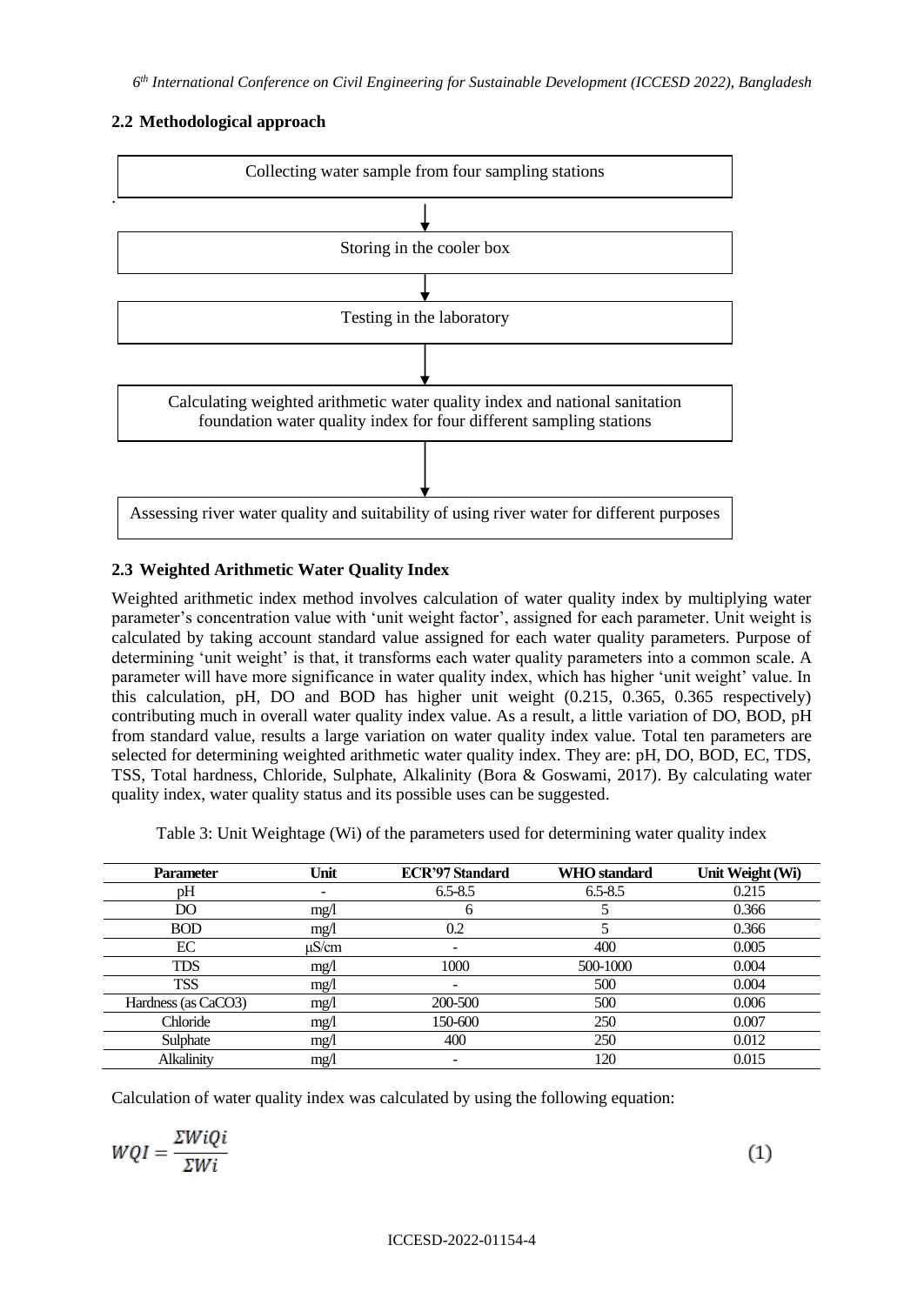# **2.2 Methodological approach**



# **2.3 Weighted Arithmetic Water Quality Index**

Weighted arithmetic index method involves calculation of water quality index by multiplying water parameter's concentration value with 'unit weight factor', assigned for each parameter. Unit weight is calculated by taking account standard value assigned for each water quality parameters. Purpose of determining 'unit weight' is that, it transforms each water quality parameters into a common scale. A parameter will have more significance in water quality index, which has higher 'unit weight' value. In this calculation, pH, DO and BOD has higher unit weight (0.215, 0.365, 0.365 respectively) contributing much in overall water quality index value. As a result, a little variation of DO, BOD, pH from standard value, results a large variation on water quality index value. Total ten parameters are selected for determining weighted arithmetic water quality index. They are: pH, DO, BOD, EC, TDS, TSS, Total hardness, Chloride, Sulphate, Alkalinity (Bora & Goswami, 2017). By calculating water quality index, water quality status and its possible uses can be suggested.

Table 3: Unit Weightage (Wi) of the parameters used for determining water quality index

| <b>Parameter</b>    | Unit  | <b>ECR'97 Standard</b> | <b>WHO</b> standard | Unit Weight (Wi) |
|---------------------|-------|------------------------|---------------------|------------------|
| pH                  |       | $6.5 - 8.5$            | $6.5 - 8.5$         | 0.215            |
| DO                  | mg/l  | n                      |                     | 0.366            |
| <b>BOD</b>          | mg/1  | 0.2                    |                     | 0.366            |
| EC                  | µS/cm |                        | 400                 | 0.005            |
| <b>TDS</b>          | mg/1  | 1000                   | 500-1000            | 0.004            |
| <b>TSS</b>          | mg/1  |                        | 500                 | 0.004            |
| Hardness (as CaCO3) | mg/1  | 200-500                | 500                 | 0.006            |
| Chloride            | mg/1  | 150-600                | 250                 | 0.007            |
| Sulphate            | mg/1  | 400                    | 250                 | 0.012            |
| Alkalinity          | mg/1  |                        | 120                 | 0.015            |

Calculation of water quality index was calculated by using the following equation:

$$
WQI = \frac{\Sigma WiQi}{\Sigma Wi} \tag{1}
$$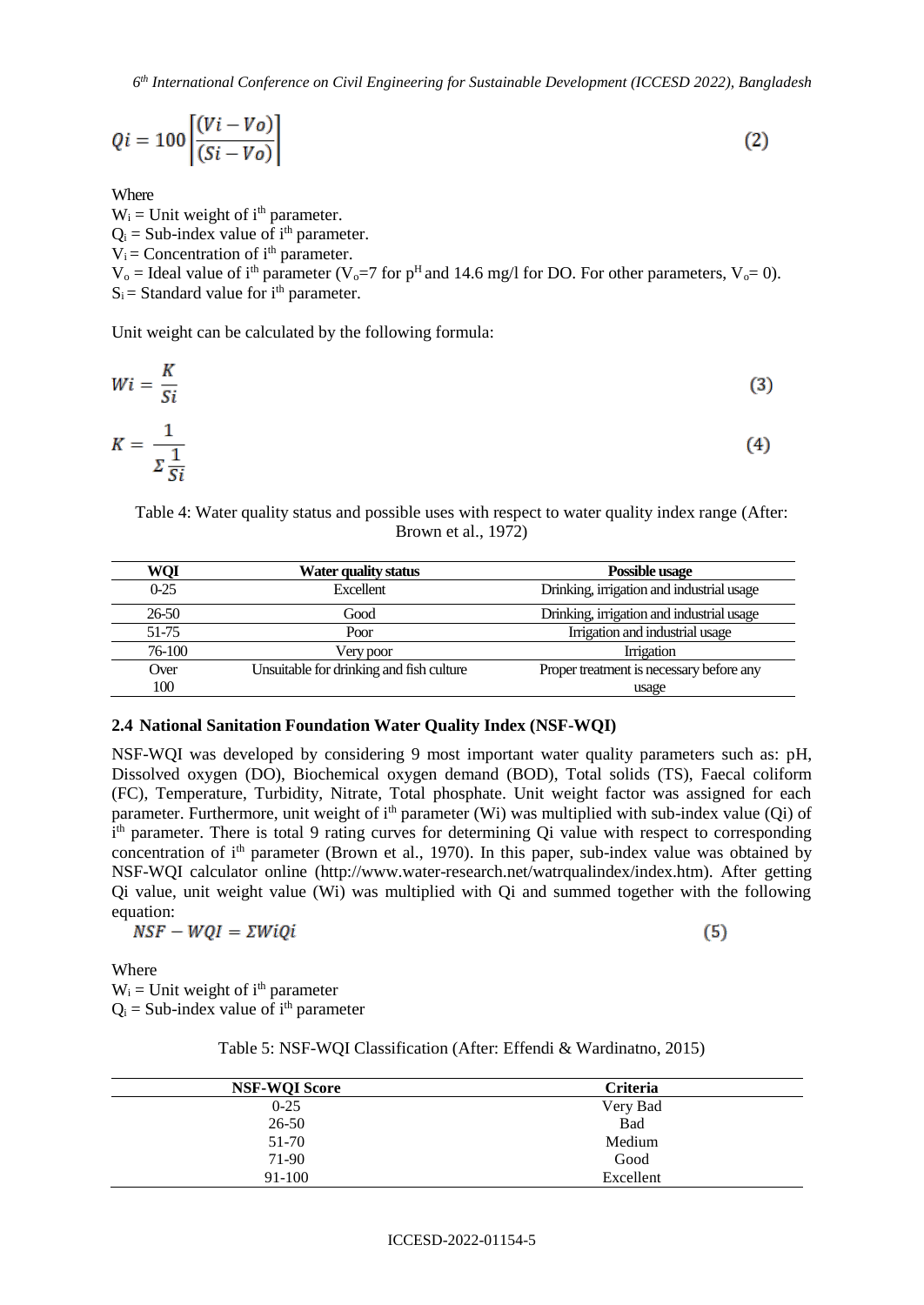*6 th International Conference on Civil Engineering for Sustainable Development (ICCESD 2022), Bangladesh*

$$
Qi = 100 \left[ \frac{(Vi - Vo)}{(Si - Vo)} \right]
$$
 (2)

Where

 $W_i$  = Unit weight of i<sup>th</sup> parameter.  $Q_i$  = Sub-index value of i<sup>th</sup> parameter.  $V_i$  = Concentration of  $i<sup>th</sup>$  parameter.  $V_0$  = Ideal value of i<sup>th</sup> parameter (V<sub>0</sub>=7 for p<sup>H</sup> and 14.6 mg/l for DO. For other parameters, V<sub>0</sub>= 0).  $S_i$  = Standard value for  $i<sup>th</sup>$  parameter.

Unit weight can be calculated by the following formula:

$$
Wi = \frac{K}{Si}
$$
 (3)

$$
K = \frac{1}{\sum \frac{1}{Si}} \tag{4}
$$

Table 4: Water quality status and possible uses with respect to water quality index range (After: Brown et al., 1972)

| WQI    | Water quality status                     | Possible usage                            |
|--------|------------------------------------------|-------------------------------------------|
| $0-25$ | Excellent                                | Drinking, irrigation and industrial usage |
| 26-50  | Good                                     | Drinking, irrigation and industrial usage |
| 51-75  | Poor                                     | Irrigation and industrial usage           |
| 76-100 | Very poor                                | <b>Irrigation</b>                         |
| Over   | Unsuitable for drinking and fish culture | Proper treatment is necessary before any  |
| 100    |                                          | usage                                     |

#### **2.4 National Sanitation Foundation Water Quality Index (NSF-WQI)**

NSF-WQI was developed by considering 9 most important water quality parameters such as: pH, Dissolved oxygen (DO), Biochemical oxygen demand (BOD), Total solids (TS), Faecal coliform (FC), Temperature, Turbidity, Nitrate, Total phosphate. Unit weight factor was assigned for each parameter. Furthermore, unit weight of i<sup>th</sup> parameter (Wi) was multiplied with sub-index value (Qi) of i<sup>th</sup> parameter. There is total 9 rating curves for determining Qi value with respect to corresponding concentration of i<sup>th</sup> parameter (Brown et al., 1970). In this paper, sub-index value was obtained by NSF-WQI calculator online (http://www.water-research.net/watrqualindex/index.htm). After getting Qi value, unit weight value (Wi) was multiplied with Qi and summed together with the following equation:

 $NSF - WQI = \Sigma WiQi$ 

 $(5)$ 

Where  $W_i$  = Unit weight of i<sup>th</sup> parameter  $Q_i$  = Sub-index value of i<sup>th</sup> parameter

Table 5: NSF-WQI Classification (After: Effendi & Wardinatno, 2015)

| <b>NSF-WQI Score</b> | <b>Criteria</b> |
|----------------------|-----------------|
| $0 - 25$             | Very Bad        |
| $26 - 50$            | Bad             |
| 51-70                | Medium          |
| 71-90                | Good            |
| 91-100               | Excellent       |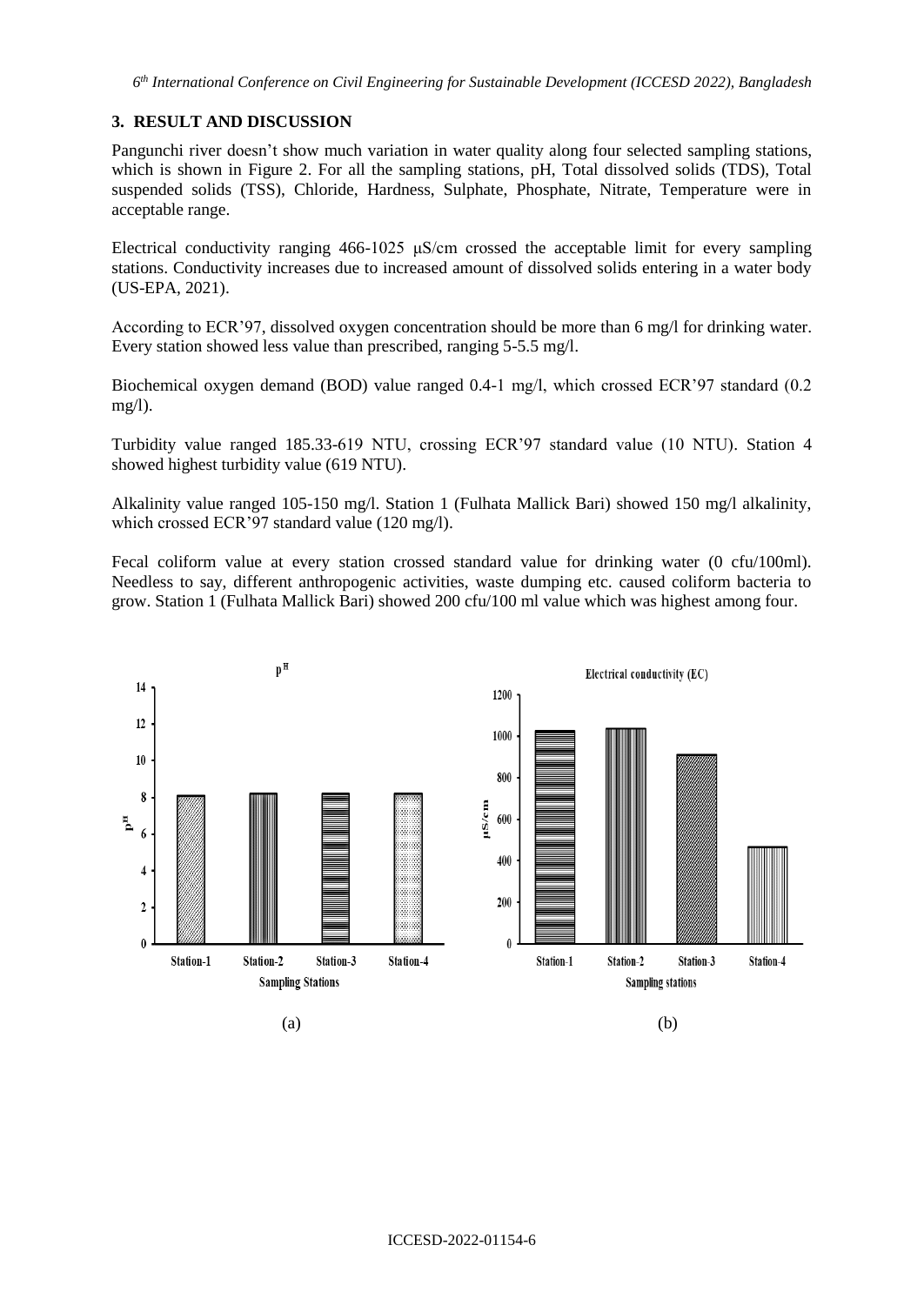*6 th International Conference on Civil Engineering for Sustainable Development (ICCESD 2022), Bangladesh*

### **3. RESULT AND DISCUSSION**

Pangunchi river doesn't show much variation in water quality along four selected sampling stations, which is shown in Figure 2. For all the sampling stations, pH, Total dissolved solids (TDS), Total suspended solids (TSS), Chloride, Hardness, Sulphate, Phosphate, Nitrate, Temperature were in acceptable range.

Electrical conductivity ranging 466-1025 μS/cm crossed the acceptable limit for every sampling stations. Conductivity increases due to increased amount of dissolved solids entering in a water body (US-EPA, 2021).

According to ECR'97, dissolved oxygen concentration should be more than 6 mg/l for drinking water. Every station showed less value than prescribed, ranging 5-5.5 mg/l.

Biochemical oxygen demand (BOD) value ranged 0.4-1 mg/l, which crossed ECR'97 standard (0.2 mg/l).

Turbidity value ranged 185.33-619 NTU, crossing ECR'97 standard value (10 NTU). Station 4 showed highest turbidity value (619 NTU).

Alkalinity value ranged 105-150 mg/l. Station 1 (Fulhata Mallick Bari) showed 150 mg/l alkalinity, which crossed ECR'97 standard value (120 mg/l).

Fecal coliform value at every station crossed standard value for drinking water (0 cfu/100ml). Needless to say, different anthropogenic activities, waste dumping etc. caused coliform bacteria to grow. Station 1 (Fulhata Mallick Bari) showed 200 cfu/100 ml value which was highest among four.

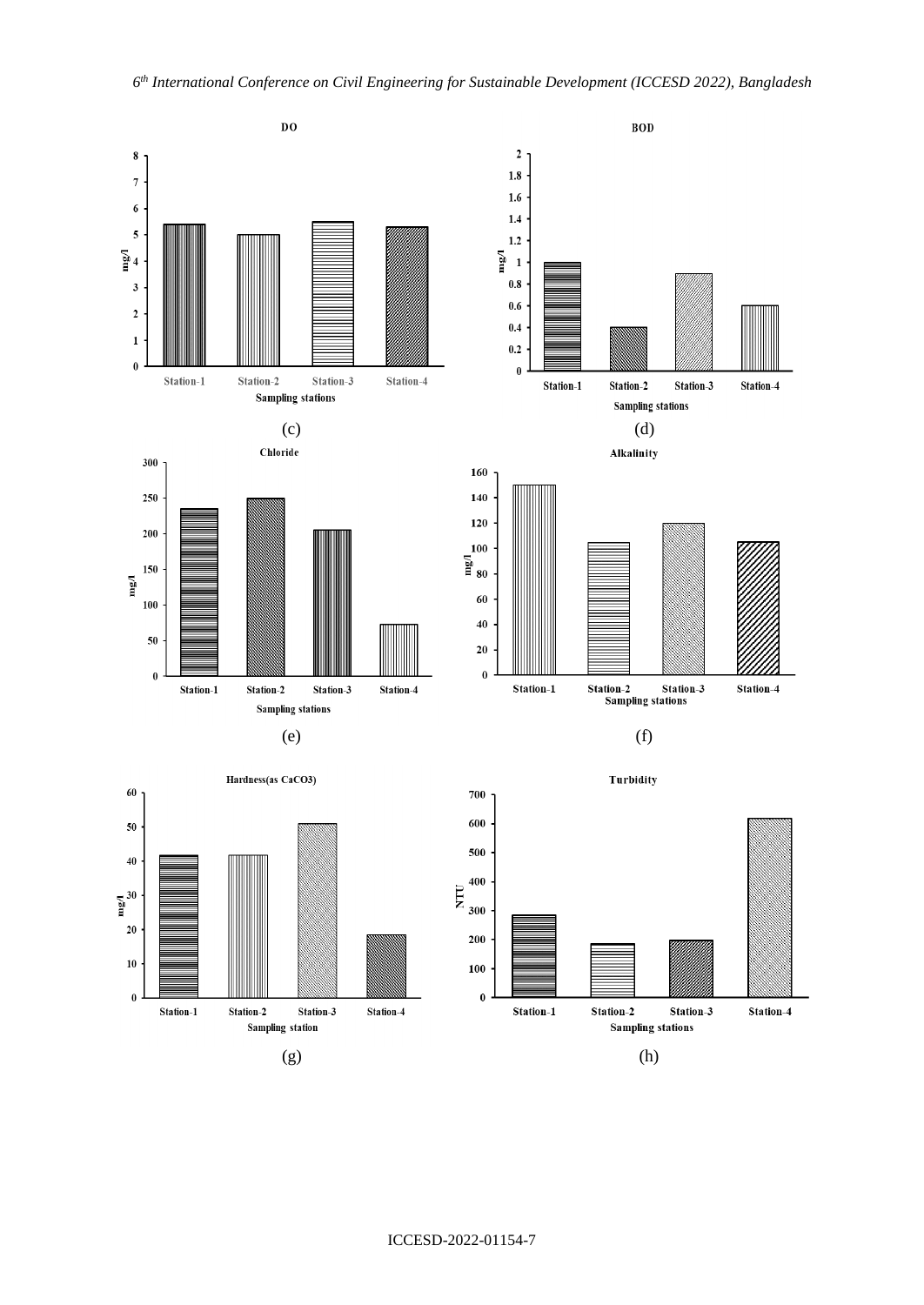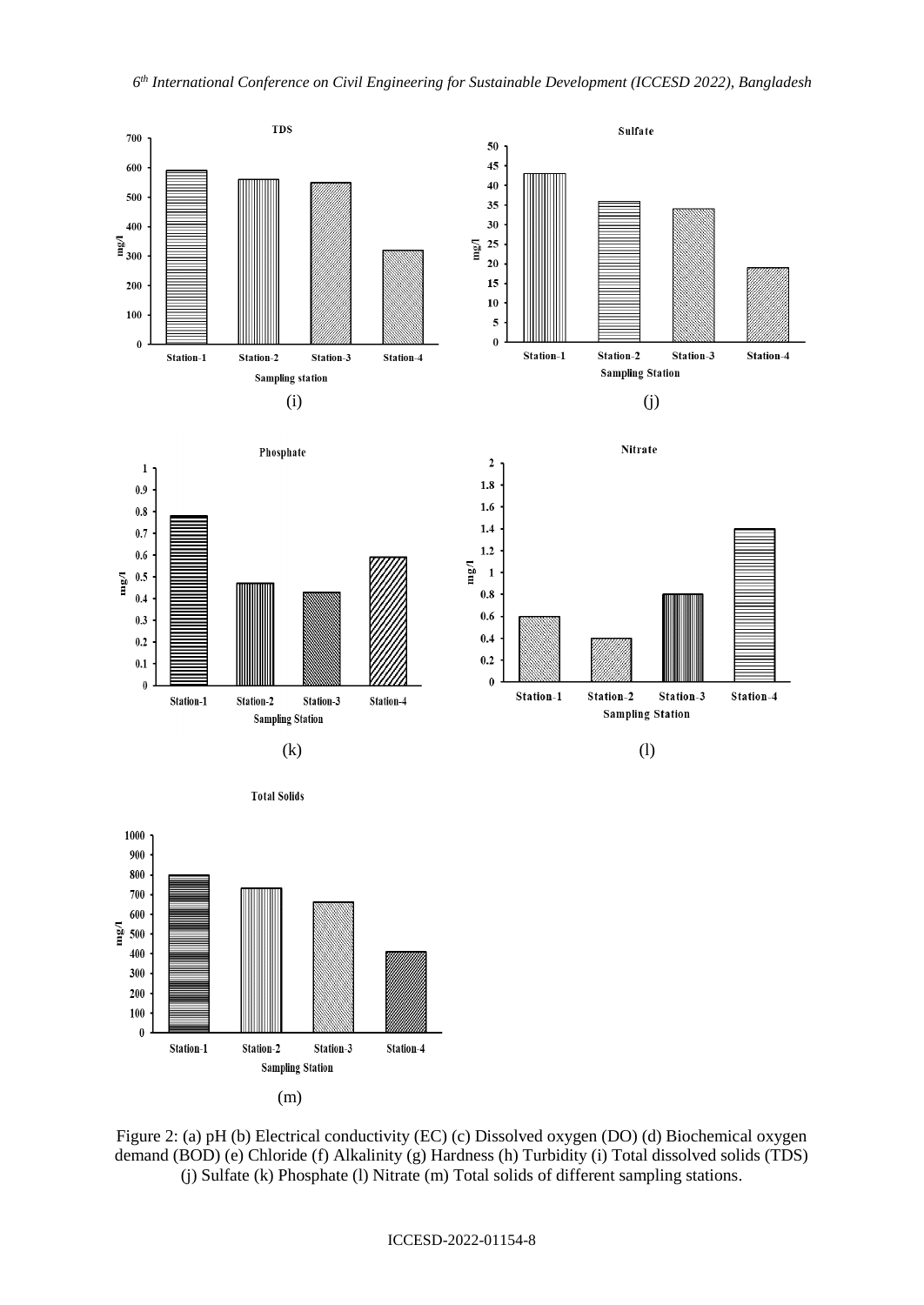

(m)

Figure 2: (a) pH (b) Electrical conductivity (EC) (c) Dissolved oxygen (DO) (d) Biochemical oxygen demand (BOD) (e) Chloride (f) Alkalinity (g) Hardness (h) Turbidity (i) Total dissolved solids (TDS) (j) Sulfate (k) Phosphate (l) Nitrate (m) Total solids of different sampling stations.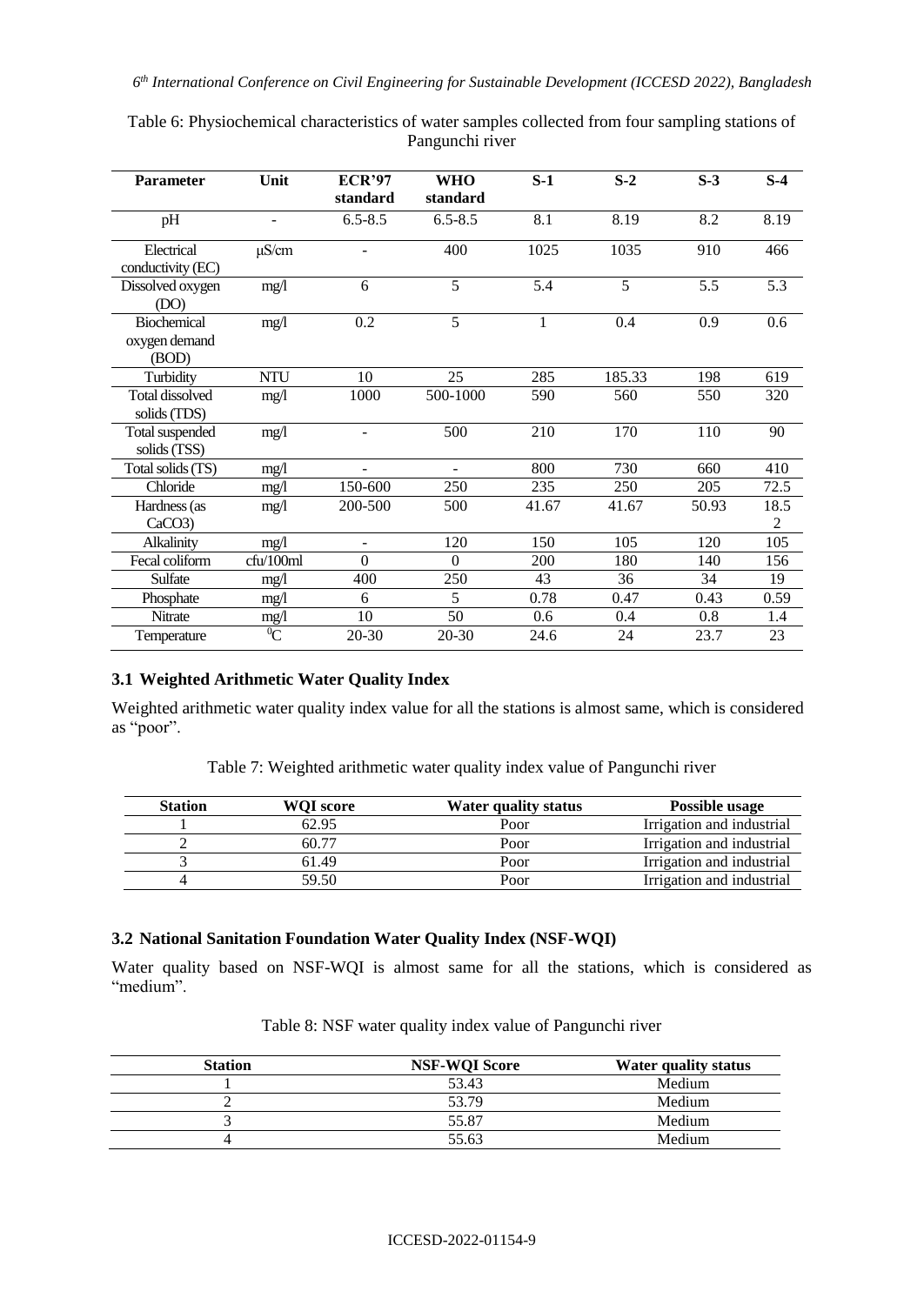| <b>Parameter</b>                             | Unit                     | <b>ECR'97</b>            | <b>WHO</b>     | $S-1$            | $S-2$          | $S-3$ | $S-4$                  |
|----------------------------------------------|--------------------------|--------------------------|----------------|------------------|----------------|-------|------------------------|
|                                              |                          | standard                 | standard       |                  |                |       |                        |
| pH                                           | $\overline{\phantom{a}}$ | $6.5 - 8.5$              | $6.5 - 8.5$    | 8.1              | 8.19           | 8.2   | 8.19                   |
| Electrical<br>conductivity (EC)              | $\mu$ S/cm               |                          | 400            | 1025             | 1035           | 910   | 466                    |
| Dissolved oxygen<br>(DO)                     | mg/1                     | 6                        | $\overline{5}$ | $\overline{5.4}$ | $\overline{5}$ | 5.5   | $\overline{5.3}$       |
| <b>Biochemical</b><br>oxygen demand<br>(BOD) | mg/1                     | 0.2                      | 5              | 1                | 0.4            | 0.9   | 0.6                    |
| Turbidity                                    | <b>NTU</b>               | 10                       | 25             | 285              | 185.33         | 198   | 619                    |
| Total dissolved<br>solids (TDS)              | mg/1                     | 1000                     | 500-1000       | 590              | 560            | 550   | 320                    |
| Total suspended<br>solids (TSS)              | mg/1                     | ÷,                       | 500            | 210              | 170            | 110   | 90                     |
| Total solids (TS)                            | mg/l                     |                          | ÷.             | 800              | 730            | 660   | 410                    |
| Chloride                                     | mg/1                     | 150-600                  | 250            | 235              | 250            | 205   | 72.5                   |
| Hardness (as<br>CaCO3                        | mg/1                     | 200-500                  | 500            | 41.67            | 41.67          | 50.93 | 18.5<br>$\overline{2}$ |
| Alkalinity                                   | mg/1                     | $\overline{\phantom{0}}$ | 120            | 150              | 105            | 120   | 105                    |
| Fecal coliform                               | cfu/100ml                | $\Omega$                 | $\theta$       | 200              | 180            | 140   | 156                    |
| Sulfate                                      | mg/1                     | 400                      | 250            | 43               | 36             | 34    | 19                     |
| Phosphate                                    | mg/1                     | 6                        | 5              | 0.78             | 0.47           | 0.43  | 0.59                   |
| Nitrate                                      | mg/l                     | 10                       | 50             | 0.6              | 0.4            | 0.8   | 1.4                    |
| Temperature                                  | $\overline{C}$           | 20-30                    | $20 - 30$      | 24.6             | 24             | 23.7  | 23                     |

Table 6: Physiochemical characteristics of water samples collected from four sampling stations of Pangunchi river

## **3.1 Weighted Arithmetic Water Quality Index**

Weighted arithmetic water quality index value for all the stations is almost same, which is considered as "poor".

Table 7: Weighted arithmetic water quality index value of Pangunchi river

| <b>Station</b> | <b>WOI</b> score | Water quality status | Possible usage            |
|----------------|------------------|----------------------|---------------------------|
|                | 62.95            | Poor                 | Irrigation and industrial |
|                | 60.77            | Poor                 | Irrigation and industrial |
|                | 61.49            | Poor                 | Irrigation and industrial |
|                | 59.50            | Poor                 | Irrigation and industrial |

### **3.2 National Sanitation Foundation Water Quality Index (NSF-WQI)**

Water quality based on NSF-WQI is almost same for all the stations, which is considered as "medium".

| <b>Station</b> | <b>NSF-WOI Score</b> | <b>Water quality status</b> |
|----------------|----------------------|-----------------------------|
|                | 53.43                | Medium                      |
|                | 53.79                | Medium                      |
|                | 55.87                | Medium                      |
|                | 55.63                | Medium                      |

Table 8: NSF water quality index value of Pangunchi river